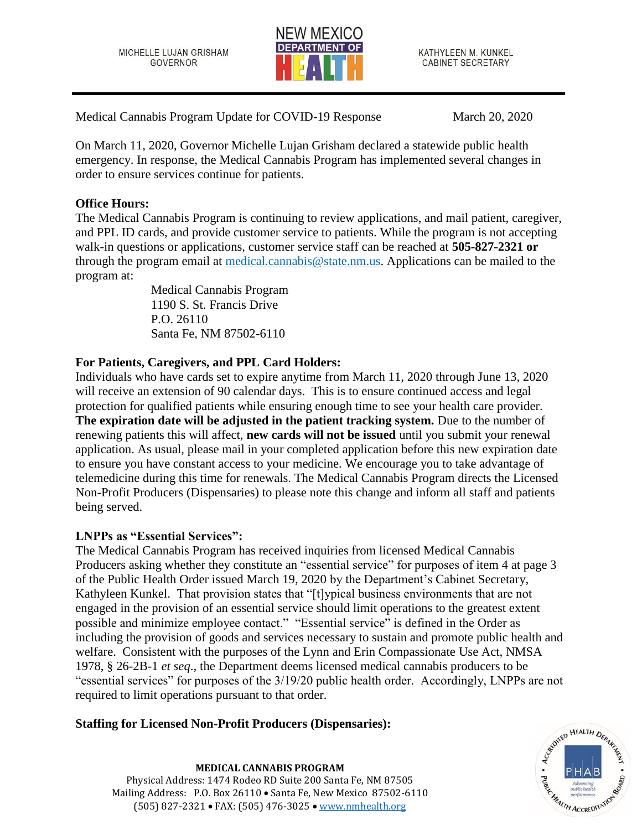MICHELLE LUJAN GRISHAM **GOVERNOR** 



KATHYLEEN M. KUNKEL **CABINET SECRETARY** 

Medical Cannabis Program Update for COVID-19 Response March 20, 2020

On March 11, 2020, Governor Michelle Lujan Grisham declared a statewide public health emergency. In response, the Medical Cannabis Program has implemented several changes in order to ensure services continue for patients.

## **Office Hours:**

The Medical Cannabis Program is continuing to review applications, and mail patient, caregiver, and PPL ID cards, and provide customer service to patients. While the program is not accepting walk-in questions or applications, customer service staff can be reached at **505-827-2321 or** through the program email at [medical.cannabis@state.nm.us.](mailto:medical.cannabis@state.nm.us) Applications can be mailed to the program at:

> Medical Cannabis Program 1190 S. St. Francis Drive P.O. 26110 Santa Fe, NM 87502-6110

# **For Patients, Caregivers, and PPL Card Holders:**

Individuals who have cards set to expire anytime from March 11, 2020 through June 13, 2020 will receive an extension of 90 calendar days. This is to ensure continued access and legal protection for qualified patients while ensuring enough time to see your health care provider. **The expiration date will be adjusted in the patient tracking system.** Due to the number of renewing patients this will affect, **new cards will not be issued** until you submit your renewal application. As usual, please mail in your completed application before this new expiration date to ensure you have constant access to your medicine. We encourage you to take advantage of telemedicine during this time for renewals. The Medical Cannabis Program directs the Licensed Non-Profit Producers (Dispensaries) to please note this change and inform all staff and patients being served.

### **LNPPs as "Essential Services":**

The Medical Cannabis Program has received inquiries from licensed Medical Cannabis Producers asking whether they constitute an "essential service" for purposes of item 4 at page 3 of the Public Health Order issued March 19, 2020 by the Department's Cabinet Secretary, Kathyleen Kunkel. That provision states that "[t]ypical business environments that are not engaged in the provision of an essential service should limit operations to the greatest extent possible and minimize employee contact." "Essential service" is defined in the Order as including the provision of goods and services necessary to sustain and promote public health and welfare. Consistent with the purposes of the Lynn and Erin Compassionate Use Act, NMSA 1978, § 26-2B-1 *et seq*., the Department deems licensed medical cannabis producers to be "essential services" for purposes of the 3/19/20 public health order. Accordingly, LNPPs are not required to limit operations pursuant to that order.

# **Staffing for Licensed Non-Profit Producers (Dispensaries):**

Cumito HEALTH DEPART **HEALTH ACCREDITATION** 

**MEDICAL CANNABIS PROGRAM** Physical Address: 1474 Rodeo RD Suite 200 Santa Fe, NM 87505 Mailing Address: P.O. Box 26110 • Santa Fe, New Mexico 87502-6110 (505) 827-2321 • FAX: (505) 476-3025 • [www.nmhealth.org](http://www.nmhealth.org/)